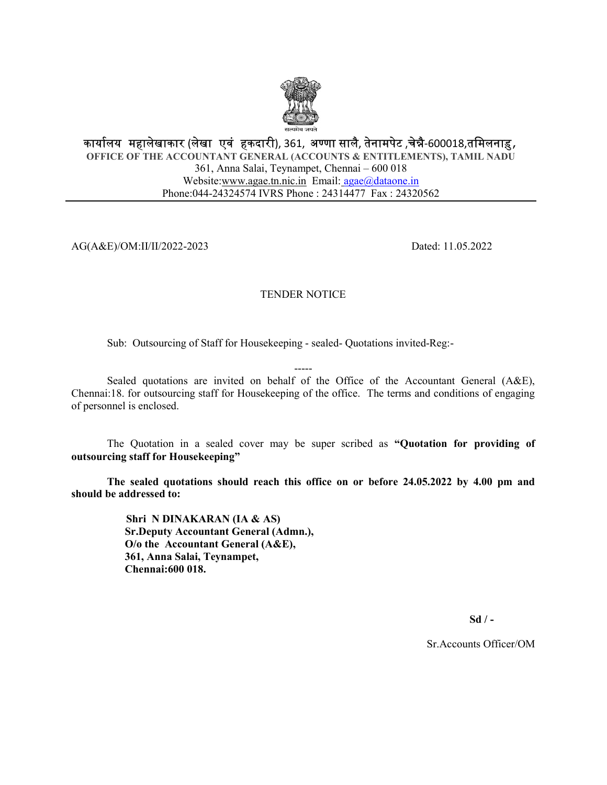

## कार्यालय महालेखाकार (लेखा एवं हकदारी), 361, अण्णा सालै, तेनामपेट ,चेन्नै-600018,तमिलनाड़, OFFICE OF THE ACCOUNTANT GENERAL (ACCOUNTS & ENTITLEMENTS), TAMIL NADU 361, Anna Salai, Teynampet, Chennai – 600 018 Website:www.agae.tn.nic.in Email: agae@dataone.in Phone:044-24324574 IVRS Phone : 24314477 Fax : 24320562

AG(A&E)/OM:II/II/2022-2023 Dated: 11.05.2022

## TENDER NOTICE

Sub: Outsourcing of Staff for Housekeeping - sealed- Quotations invited-Reg:-

----- Sealed quotations are invited on behalf of the Office of the Accountant General (A&E), Chennai:18. for outsourcing staff for Housekeeping of the office. The terms and conditions of engaging of personnel is enclosed.

The Quotation in a sealed cover may be super scribed as "Quotation for providing of outsourcing staff for Housekeeping"

The sealed quotations should reach this office on or before 24.05.2022 by 4.00 pm and should be addressed to:

> Shri N DINAKARAN (IA & AS) Sr.Deputy Accountant General (Admn.), O/o the Accountant General (A&E), 361, Anna Salai, Teynampet, Chennai:600 018.

> > $Sd / -$

Sr.Accounts Officer/OM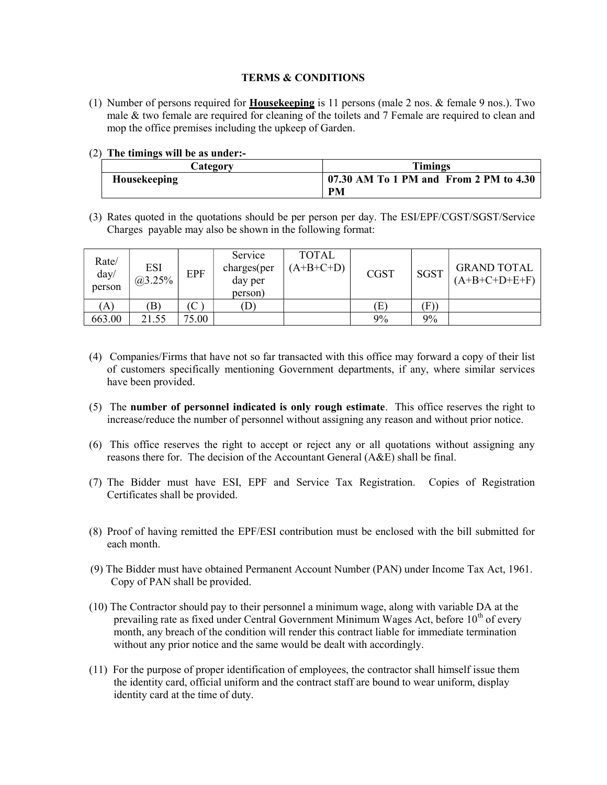## TERMS & CONDITIONS

- (1) Number of persons required for **Housekeeping** is 11 persons (male 2 nos.  $\&$  female 9 nos.). Two male & two female are required for cleaning of the toilets and 7 Female are required to clean and mop the office premises including the upkeep of Garden.
- (2) The timings will be as under:-

| <b>Lategory</b>     | Timings                                             |  |  |  |
|---------------------|-----------------------------------------------------|--|--|--|
| <b>Housekeeping</b> | 07.30 AM To 1 PM and From 2 PM to 4.30<br><b>PM</b> |  |  |  |

(3) Rates quoted in the quotations should be per person per day. The ESI/EPF/CGST/SGST/Service Charges payable may also be shown in the following format:

| Rate/<br>day/<br>person | <b>ESI</b><br>$\sqrt{a}3.25\%$ | <b>EPF</b> | Service<br>charges(per<br>day per<br>person) | TOTAL<br>$(A+B+C+D)$ | <b>CGST</b> | <b>SGST</b> | <b>GRAND TOTAL</b><br>$(A+B+C+D+E+F)$ |
|-------------------------|--------------------------------|------------|----------------------------------------------|----------------------|-------------|-------------|---------------------------------------|
| (A)                     | B)                             | (C)        | D                                            |                      | Έì          | F)          |                                       |
| 663.00                  | 21.55                          | 75.00      |                                              |                      | 9%          | 9%          |                                       |

- (4) Companies/Firms that have not so far transacted with this office may forward a copy of their list of customers specifically mentioning Government departments, if any, where similar services have been provided.
- (5) The number of personnel indicated is only rough estimate. This office reserves the right to increase/reduce the number of personnel without assigning any reason and without prior notice.
- (6) This office reserves the right to accept or reject any or all quotations without assigning any reasons there for. The decision of the Accountant General (A&E) shall be final.
- (7) The Bidder must have ESI, EPF and Service Tax Registration. Copies of Registration Certificates shall be provided.
- (8) Proof of having remitted the EPF/ESI contribution must be enclosed with the bill submitted for each month.
- (9) The Bidder must have obtained Permanent Account Number (PAN) under Income Tax Act, 1961. Copy of PAN shall be provided.
- (10) The Contractor should pay to their personnel a minimum wage, along with variable DA at the prevailing rate as fixed under Central Government Minimum Wages Act, before  $10<sup>th</sup>$  of every month, any breach of the condition will render this contract liable for immediate termination without any prior notice and the same would be dealt with accordingly.
- (11) For the purpose of proper identification of employees, the contractor shall himself issue them the identity card, official uniform and the contract staff are bound to wear uniform, display identity card at the time of duty.